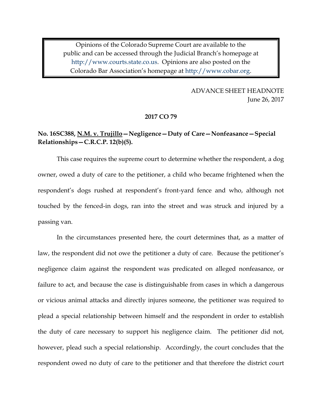Opinions of the Colorado Supreme Court are available to the public and can be accessed through the Judicial Branch's homepage at [http://www.courts.state.co.us.](http://www.courts.state.co.us/) Opinions are also posted on the Colorado Bar Association's homepage at [http://www.cobar.org.](http://www.cobar.org/)

> ADVANCE SHEET HEADNOTE June 26, 2017

#### **2017 CO 79**

## **No. 16SC388, N.M. v. Trujillo—Negligence—Duty of Care—Nonfeasance—Special Relationships—C.R.C.P. 12(b)(5).**

This case requires the supreme court to determine whether the respondent, a dog owner, owed a duty of care to the petitioner, a child who became frightened when the respondent's dogs rushed at respondent's front-yard fence and who, although not touched by the fenced-in dogs, ran into the street and was struck and injured by a passing van.

In the circumstances presented here, the court determines that, as a matter of law, the respondent did not owe the petitioner a duty of care. Because the petitioner's negligence claim against the respondent was predicated on alleged nonfeasance, or failure to act, and because the case is distinguishable from cases in which a dangerous or vicious animal attacks and directly injures someone, the petitioner was required to plead a special relationship between himself and the respondent in order to establish the duty of care necessary to support his negligence claim. The petitioner did not, however, plead such a special relationship. Accordingly, the court concludes that the respondent owed no duty of care to the petitioner and that therefore the district court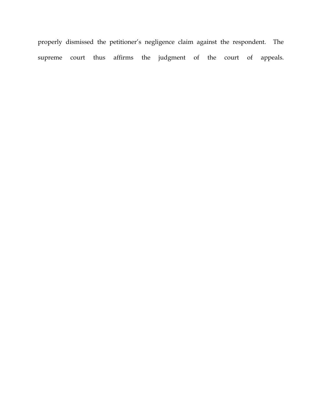properly dismissed the petitioner's negligence claim against the respondent. The supreme court thus affirms the judgment of the court of appeals.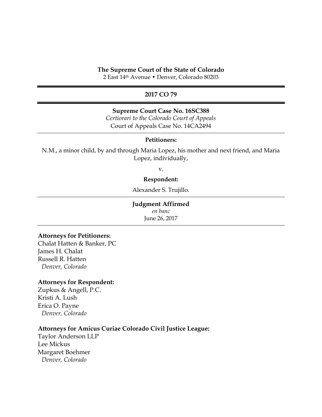#### **The Supreme Court of the State of Colorado**

2 East 14th Avenue • Denver, Colorado 80203

## **2017 CO 79**

#### **Supreme Court Case No. 16SC388**

*Certiorari to the Colorado Court of Appeals* Court of Appeals Case No. 14CA2494

### **Petitioners:**

N.M., a minor child, by and through Maria Lopez, his mother and next friend, and Maria Lopez, individually,

v.

#### **Respondent:**

Alexander S. Trujillo.

#### **Judgment Affirmed**

*en banc* June 26, 2017

#### **Attorneys for Petitioners:**

Chalat Hatten & Banker, PC James H. Chalat Russell R. Hatten *Denver, Colorado*

### **Attorneys for Respondent:**

Zupkus & Angell, P.C. Kristi A. Lush Erica O. Payne *Denver, Colorado*

#### **Attorneys for Amicus Curiae Colorado Civil Justice League:**

Taylor Anderson LLP Lee Mickus Margaret Boehmer *Denver, Colorado*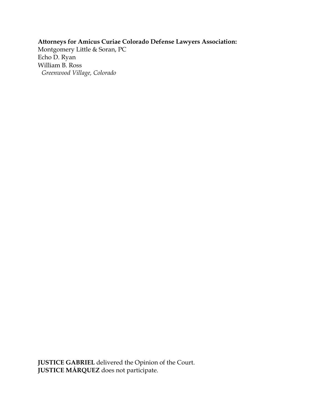# **Attorneys for Amicus Curiae Colorado Defense Lawyers Association:**

Montgomery Little & Soran, PC Echo D. Ryan William B. Ross *Greenwood Village, Colorado* 

**JUSTICE GABRIEL** delivered the Opinion of the Court. **JUSTICE MÁRQUEZ** does not participate.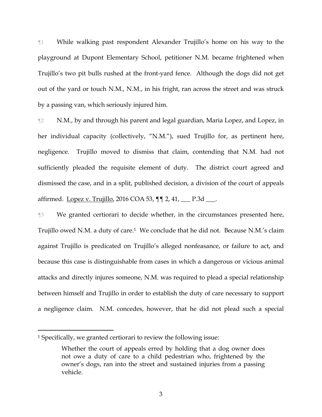¶1 While walking past respondent Alexander Trujillo's home on his way to the playground at Dupont Elementary School, petitioner N.M. became frightened when Trujillo's two pit bulls rushed at the front-yard fence. Although the dogs did not get out of the yard or touch N.M., N.M., in his fright, ran across the street and was struck by a passing van, which seriously injured him.

¶2 N.M., by and through his parent and legal guardian, Maria Lopez, and Lopez, in her individual capacity (collectively, "N.M."), sued Trujillo for, as pertinent here, negligence. Trujillo moved to dismiss that claim, contending that N.M. had not sufficiently pleaded the requisite element of duty. The district court agreed and dismissed the case, and in a split, published decision, a division of the court of appeals affirmed. Lopez v. Trujillo, 2016 COA 53, ¶¶ 2, 41, \_\_\_ P.3d \_\_\_.

¶3 We granted certiorari to decide whether, in the circumstances presented here, Trujillo owed N.M. a duty of care.<sup>1</sup> We conclude that he did not. Because N.M.'s claim against Trujillo is predicated on Trujillo's alleged nonfeasance, or failure to act, and because this case is distinguishable from cases in which a dangerous or vicious animal attacks and directly injures someone, N.M. was required to plead a special relationship between himself and Trujillo in order to establish the duty of care necessary to support a negligence claim. N.M. concedes, however, that he did not plead such a special

 $\overline{a}$ 

<sup>1</sup> Specifically, we granted certiorari to review the following issue:

Whether the court of appeals erred by holding that a dog owner does not owe a duty of care to a child pedestrian who, frightened by the owner's dogs, ran into the street and sustained injuries from a passing vehicle.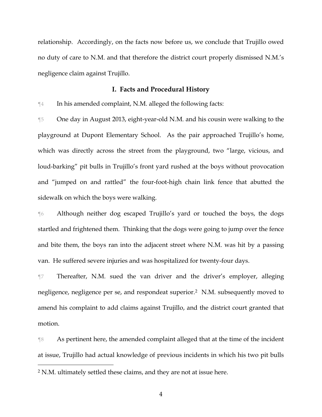relationship. Accordingly, on the facts now before us, we conclude that Trujillo owed no duty of care to N.M. and that therefore the district court properly dismissed N.M.'s negligence claim against Trujillo.

#### **I. Facts and Procedural History**

¶4 In his amended complaint, N.M. alleged the following facts:

¶5 One day in August 2013, eight-year-old N.M. and his cousin were walking to the playground at Dupont Elementary School. As the pair approached Trujillo's home, which was directly across the street from the playground, two "large, vicious, and loud-barking" pit bulls in Trujillo's front yard rushed at the boys without provocation and "jumped on and rattled" the four-foot-high chain link fence that abutted the sidewalk on which the boys were walking.

¶6 Although neither dog escaped Trujillo's yard or touched the boys, the dogs startled and frightened them. Thinking that the dogs were going to jump over the fence and bite them, the boys ran into the adjacent street where N.M. was hit by a passing van. He suffered severe injuries and was hospitalized for twenty-four days.

¶7 Thereafter, N.M. sued the van driver and the driver's employer, alleging negligence, negligence per se, and respondeat superior.2 N.M. subsequently moved to amend his complaint to add claims against Trujillo, and the district court granted that motion.

¶8 As pertinent here, the amended complaint alleged that at the time of the incident at issue, Trujillo had actual knowledge of previous incidents in which his two pit bulls  $\overline{a}$ 

<sup>2</sup> N.M. ultimately settled these claims, and they are not at issue here.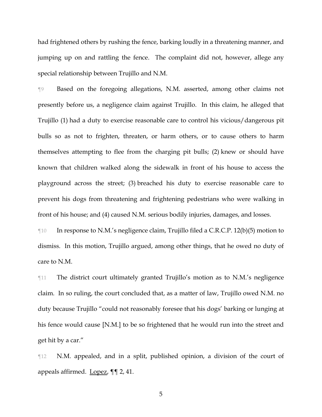had frightened others by rushing the fence, barking loudly in a threatening manner, and jumping up on and rattling the fence. The complaint did not, however, allege any special relationship between Trujillo and N.M.

¶9 Based on the foregoing allegations, N.M. asserted, among other claims not presently before us, a negligence claim against Trujillo. In this claim, he alleged that Trujillo (1) had a duty to exercise reasonable care to control his vicious/dangerous pit bulls so as not to frighten, threaten, or harm others, or to cause others to harm themselves attempting to flee from the charging pit bulls; (2) knew or should have known that children walked along the sidewalk in front of his house to access the playground across the street; (3) breached his duty to exercise reasonable care to prevent his dogs from threatening and frightening pedestrians who were walking in front of his house; and (4) caused N.M. serious bodily injuries, damages, and losses.

¶10 In response to N.M.'s negligence claim, Trujillo filed a C.R.C.P. 12(b)(5) motion to dismiss. In this motion, Trujillo argued, among other things, that he owed no duty of care to N.M.

¶11 The district court ultimately granted Trujillo's motion as to N.M.'s negligence claim. In so ruling, the court concluded that, as a matter of law, Trujillo owed N.M. no duty because Trujillo "could not reasonably foresee that his dogs' barking or lunging at his fence would cause [N.M.] to be so frightened that he would run into the street and get hit by a car."

¶12 N.M. appealed, and in a split, published opinion, a division of the court of appeals affirmed. Lopez, ¶¶ 2, 41.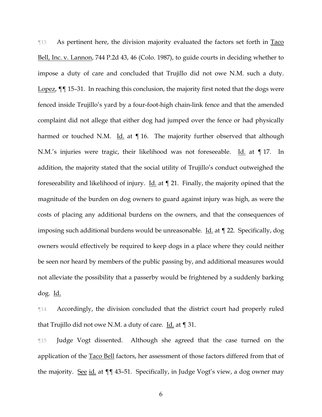¶13 As pertinent here, the division majority evaluated the factors set forth in Taco Bell, Inc. v. Lannon, 744 P.2d 43, 46 (Colo. 1987), to guide courts in deciding whether to impose a duty of care and concluded that Trujillo did not owe N.M. such a duty. Lopez,  $\P$  15–31. In reaching this conclusion, the majority first noted that the dogs were fenced inside Trujillo's yard by a four-foot-high chain-link fence and that the amended complaint did not allege that either dog had jumped over the fence or had physically harmed or touched N.M. Id. at  $\P$  16. The majority further observed that although N.M.'s injuries were tragic, their likelihood was not foreseeable. Id. at ¶ 17. In addition, the majority stated that the social utility of Trujillo's conduct outweighed the foreseeability and likelihood of injury. Id. at  $\P$  21. Finally, the majority opined that the magnitude of the burden on dog owners to guard against injury was high, as were the costs of placing any additional burdens on the owners, and that the consequences of imposing such additional burdens would be unreasonable. <u>Id.</u> at  $\P$  22. Specifically, dog owners would effectively be required to keep dogs in a place where they could neither be seen nor heard by members of the public passing by, and additional measures would not alleviate the possibility that a passerby would be frightened by a suddenly barking dog. Id.

¶14 Accordingly, the division concluded that the district court had properly ruled that Trujillo did not owe N.M. a duty of care. Id. at ¶ 31.

¶15 Judge Vogt dissented. Although she agreed that the case turned on the application of the Taco Bell factors, her assessment of those factors differed from that of the majority. See id. at  $\P\P$  43–51. Specifically, in Judge Vogt's view, a dog owner may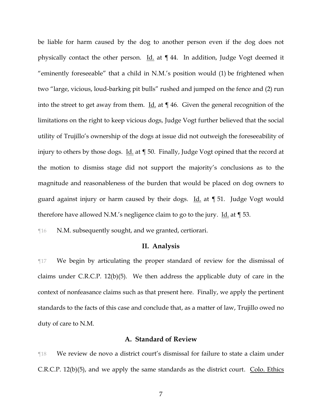be liable for harm caused by the dog to another person even if the dog does not physically contact the other person.  $\underline{Id}$  at  $\P$  44. In addition, Judge Vogt deemed it "eminently foreseeable" that a child in N.M.'s position would (1) be frightened when two "large, vicious, loud-barking pit bulls" rushed and jumped on the fence and (2) run into the street to get away from them. Id. at  $\P$  46. Given the general recognition of the limitations on the right to keep vicious dogs, Judge Vogt further believed that the social utility of Trujillo's ownership of the dogs at issue did not outweigh the foreseeability of injury to others by those dogs. Id. at ¶ 50. Finally, Judge Vogt opined that the record at the motion to dismiss stage did not support the majority's conclusions as to the magnitude and reasonableness of the burden that would be placed on dog owners to guard against injury or harm caused by their dogs. Id. at  $\P$  51. Judge Vogt would therefore have allowed N.M.'s negligence claim to go to the jury. Id. at ¶ 53.

¶16 N.M. subsequently sought, and we granted, certiorari.

## **II. Analysis**

¶17 We begin by articulating the proper standard of review for the dismissal of claims under C.R.C.P. 12(b)(5). We then address the applicable duty of care in the context of nonfeasance claims such as that present here. Finally, we apply the pertinent standards to the facts of this case and conclude that, as a matter of law, Trujillo owed no duty of care to N.M.

### **A. Standard of Review**

¶18 We review de novo a district court's dismissal for failure to state a claim under C.R.C.P. 12(b) $(5)$ , and we apply the same standards as the district court. Colo. Ethics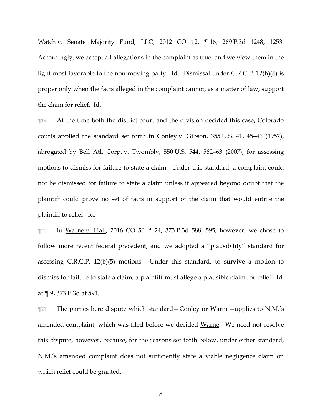Watch v. Senate Majority Fund, LLC, 2012 CO 12, ¶ 16, 269 P.3d 1248, 1253. Accordingly, we accept all allegations in the complaint as true, and we view them in the light most favorable to the non-moving party. Id. Dismissal under C.R.C.P. 12(b)(5) is proper only when the facts alleged in the complaint cannot, as a matter of law, support the claim for relief. Id.

¶19 At the time both the district court and the division decided this case, Colorado courts applied the standard set forth in Conley v. Gibson, 355 U.S. 41, 45–46 (1957), abrogated by Bell Atl. Corp. v. Twombly, 550 U.S. 544, 562–63 (2007), for assessing motions to dismiss for failure to state a claim. Under this standard, a complaint could not be dismissed for failure to state a claim unless it appeared beyond doubt that the plaintiff could prove no set of facts in support of the claim that would entitle the plaintiff to relief. Id.

¶20 In Warne v. Hall, 2016 CO 50, ¶ 24, 373 P.3d 588, 595, however, we chose to follow more recent federal precedent, and we adopted a "plausibility" standard for assessing C.R.C.P. 12(b)(5) motions. Under this standard, to survive a motion to dismiss for failure to state a claim, a plaintiff must allege a plausible claim for relief. Id. at ¶ 9, 373 P.3d at 591.

 $\mathbb{T}^{21}$  The parties here dispute which standard – Conley or Warne – applies to N.M.'s amended complaint, which was filed before we decided Warne. We need not resolve this dispute, however, because, for the reasons set forth below, under either standard, N.M.'s amended complaint does not sufficiently state a viable negligence claim on which relief could be granted.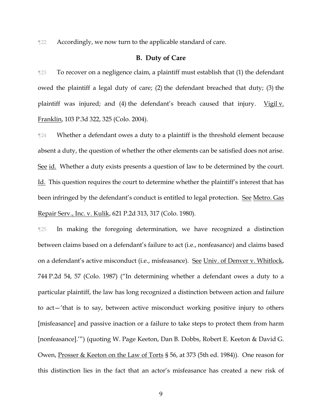¶22 Accordingly, we now turn to the applicable standard of care.

## **B. Duty of Care**

¶23 To recover on a negligence claim, a plaintiff must establish that (1) the defendant owed the plaintiff a legal duty of care; (2) the defendant breached that duty; (3) the plaintiff was injured; and  $(4)$  the defendant's breach caused that injury. Vigil v. Franklin, 103 P.3d 322, 325 (Colo. 2004).

¶24 Whether a defendant owes a duty to a plaintiff is the threshold element because absent a duty, the question of whether the other elements can be satisfied does not arise. See id. Whether a duty exists presents a question of law to be determined by the court. Id. This question requires the court to determine whether the plaintiff's interest that has been infringed by the defendant's conduct is entitled to legal protection. See Metro. Gas Repair Serv., Inc. v. Kulik, 621 P.2d 313, 317 (Colo. 1980).

¶25 In making the foregoing determination, we have recognized a distinction between claims based on a defendant's failure to act (i.e., nonfeasance) and claims based on a defendant's active misconduct (i.e., misfeasance). See Univ. of Denver v. Whitlock, 744 P.2d 54, 57 (Colo. 1987) ("In determining whether a defendant owes a duty to a particular plaintiff, the law has long recognized a distinction between action and failure to act—'that is to say, between active misconduct working positive injury to others [misfeasance] and passive inaction or a failure to take steps to protect them from harm [nonfeasance].'") (quoting W. Page Keeton, Dan B. Dobbs, Robert E. Keeton & David G. Owen, Prosser & Keeton on the Law of Torts § 56, at 373 (5th ed. 1984)). One reason for this distinction lies in the fact that an actor's misfeasance has created a new risk of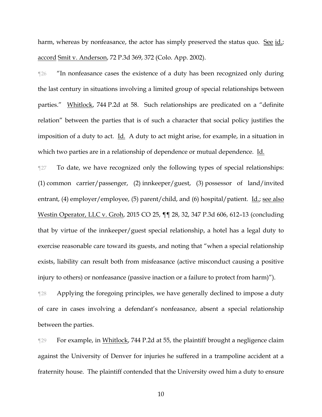harm, whereas by nonfeasance, the actor has simply preserved the status quo. See id.; accord Smit v. Anderson, 72 P.3d 369, 372 (Colo. App. 2002).

¶26 "In nonfeasance cases the existence of a duty has been recognized only during the last century in situations involving a limited group of special relationships between parties." Whitlock, 744 P.2d at 58. Such relationships are predicated on a "definite relation" between the parties that is of such a character that social policy justifies the imposition of a duty to act. Id. A duty to act might arise, for example, in a situation in which two parties are in a relationship of dependence or mutual dependence. Id.

¶27 To date, we have recognized only the following types of special relationships: (1) common carrier/passenger, (2) innkeeper/guest, (3) possessor of land/invited entrant, (4) employer/employee, (5) parent/child, and (6) hospital/patient. Id.; see also Westin Operator, LLC v. Groh, 2015 CO 25, ¶¶ 28, 32, 347 P.3d 606, 612–13 (concluding that by virtue of the innkeeper/guest special relationship, a hotel has a legal duty to exercise reasonable care toward its guests, and noting that "when a special relationship exists, liability can result both from misfeasance (active misconduct causing a positive injury to others) or nonfeasance (passive inaction or a failure to protect from harm)").

¶28 Applying the foregoing principles, we have generally declined to impose a duty of care in cases involving a defendant's nonfeasance, absent a special relationship between the parties.

¶29 For example, in Whitlock, 744 P.2d at 55, the plaintiff brought a negligence claim against the University of Denver for injuries he suffered in a trampoline accident at a fraternity house. The plaintiff contended that the University owed him a duty to ensure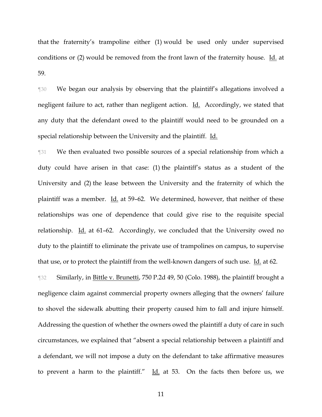that the fraternity's trampoline either (1) would be used only under supervised conditions or (2) would be removed from the front lawn of the fraternity house. Id. at 59.

¶30 We began our analysis by observing that the plaintiff's allegations involved a negligent failure to act, rather than negligent action. Id. Accordingly, we stated that any duty that the defendant owed to the plaintiff would need to be grounded on a special relationship between the University and the plaintiff. Id.

¶31 We then evaluated two possible sources of a special relationship from which a duty could have arisen in that case: (1) the plaintiff's status as a student of the University and (2) the lease between the University and the fraternity of which the plaintiff was a member. Id. at 59–62. We determined, however, that neither of these relationships was one of dependence that could give rise to the requisite special relationship.  $\underline{Id}$  at 61–62. Accordingly, we concluded that the University owed no duty to the plaintiff to eliminate the private use of trampolines on campus, to supervise that use, or to protect the plaintiff from the well-known dangers of such use. Id. at 62.

**The Similarly, in Bittle v. Brunetti, 750 P.2d 49, 50 (Colo. 1988), the plaintiff brought a** negligence claim against commercial property owners alleging that the owners' failure to shovel the sidewalk abutting their property caused him to fall and injure himself. Addressing the question of whether the owners owed the plaintiff a duty of care in such circumstances, we explained that "absent a special relationship between a plaintiff and a defendant, we will not impose a duty on the defendant to take affirmative measures to prevent a harm to the plaintiff."  $\underline{Id}$  at 53. On the facts then before us, we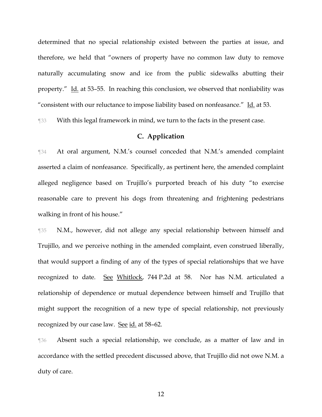determined that no special relationship existed between the parties at issue, and therefore, we held that "owners of property have no common law duty to remove naturally accumulating snow and ice from the public sidewalks abutting their property." Id. at 53–55. In reaching this conclusion, we observed that nonliability was "consistent with our reluctance to impose liability based on nonfeasance." Id. at 53.

¶33 With this legal framework in mind, we turn to the facts in the present case.

## **C. Application**

¶34 At oral argument, N.M.'s counsel conceded that N.M.'s amended complaint asserted a claim of nonfeasance. Specifically, as pertinent here, the amended complaint alleged negligence based on Trujillo's purported breach of his duty "to exercise reasonable care to prevent his dogs from threatening and frightening pedestrians walking in front of his house."

¶35 N.M., however, did not allege any special relationship between himself and Trujillo, and we perceive nothing in the amended complaint, even construed liberally, that would support a finding of any of the types of special relationships that we have recognized to date. See Whitlock, 744 P.2d at 58. Nor has N.M. articulated a relationship of dependence or mutual dependence between himself and Trujillo that might support the recognition of a new type of special relationship, not previously recognized by our case law. See id. at 58–62.

¶36 Absent such a special relationship, we conclude, as a matter of law and in accordance with the settled precedent discussed above, that Trujillo did not owe N.M. a duty of care.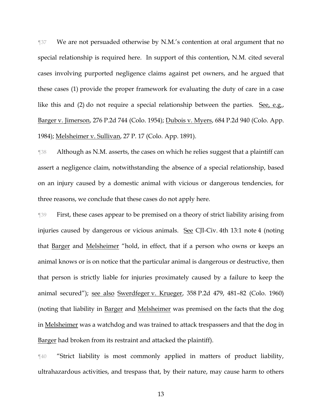¶37 We are not persuaded otherwise by N.M.'s contention at oral argument that no special relationship is required here. In support of this contention, N.M. cited several cases involving purported negligence claims against pet owners, and he argued that these cases (1) provide the proper framework for evaluating the duty of care in a case like this and (2) do not require a special relationship between the parties. See, e.g., Barger v. Jimerson, 276 P.2d 744 (Colo. 1954); Dubois v. Myers, 684 P.2d 940 (Colo. App. 1984); Melsheimer v. Sullivan, 27 P. 17 (Colo. App. 1891).

¶38 Although as N.M. asserts, the cases on which he relies suggest that a plaintiff can assert a negligence claim, notwithstanding the absence of a special relationship, based on an injury caused by a domestic animal with vicious or dangerous tendencies, for three reasons, we conclude that these cases do not apply here.

¶39 First, these cases appear to be premised on a theory of strict liability arising from injuries caused by dangerous or vicious animals. See CJI-Civ. 4th 13:1 note 4 (noting that Barger and Melsheimer "hold, in effect, that if a person who owns or keeps an animal knows or is on notice that the particular animal is dangerous or destructive, then that person is strictly liable for injuries proximately caused by a failure to keep the animal secured"); see also Swerdfeger v. Krueger, 358 P.2d 479, 481–82 (Colo. 1960) (noting that liability in Barger and Melsheimer was premised on the facts that the dog in Melsheimer was a watchdog and was trained to attack trespassers and that the dog in Barger had broken from its restraint and attacked the plaintiff).

¶40 "Strict liability is most commonly applied in matters of product liability, ultrahazardous activities, and trespass that, by their nature, may cause harm to others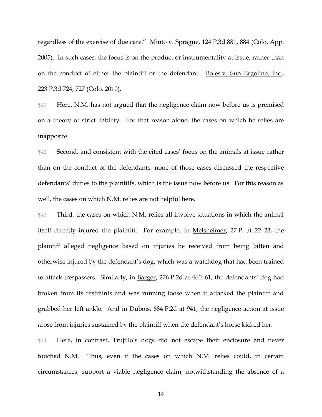regardless of the exercise of due care." Minto v. Sprague, 124 P.3d 881, 884 (Colo. App. 2005). In such cases, the focus is on the product or instrumentality at issue, rather than on the conduct of either the plaintiff or the defendant. Boles v. Sun Ergoline, Inc., 223 P.3d 724, 727 (Colo. 2010).

¶41 Here, N.M. has not argued that the negligence claim now before us is premised on a theory of strict liability. For that reason alone, the cases on which he relies are inapposite.

¶42 Second, and consistent with the cited cases' focus on the animals at issue rather than on the conduct of the defendants, none of those cases discussed the respective defendants' duties to the plaintiffs, which is the issue now before us. For this reason as well, the cases on which N.M. relies are not helpful here.

¶43 Third, the cases on which N.M. relies all involve situations in which the animal itself directly injured the plaintiff. For example, in Melsheimer, 27 P. at 22–23, the plaintiff alleged negligence based on injuries he received from being bitten and otherwise injured by the defendant's dog, which was a watchdog that had been trained to attack trespassers. Similarly, in Barger, 276 P.2d at 460–61, the defendants' dog had broken from its restraints and was running loose when it attacked the plaintiff and grabbed her left ankle. And in Dubois, 684 P.2d at 941, the negligence action at issue arose from injuries sustained by the plaintiff when the defendant's horse kicked her.

¶44 Here, in contrast, Trujillo's dogs did not escape their enclosure and never touched N.M. Thus, even if the cases on which N.M. relies could, in certain circumstances, support a viable negligence claim, notwithstanding the absence of a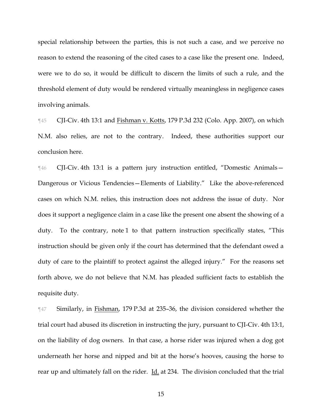special relationship between the parties, this is not such a case, and we perceive no reason to extend the reasoning of the cited cases to a case like the present one. Indeed, were we to do so, it would be difficult to discern the limits of such a rule, and the threshold element of duty would be rendered virtually meaningless in negligence cases involving animals.

¶45 CJI-Civ. 4th 13:1 and Fishman v. Kotts, 179 P.3d 232 (Colo. App. 2007), on which N.M. also relies, are not to the contrary. Indeed, these authorities support our conclusion here.

¶46 CJI-Civ. 4th 13:1 is a pattern jury instruction entitled, "Domestic Animals— Dangerous or Vicious Tendencies—Elements of Liability." Like the above-referenced cases on which N.M. relies, this instruction does not address the issue of duty. Nor does it support a negligence claim in a case like the present one absent the showing of a duty. To the contrary, note 1 to that pattern instruction specifically states, "This instruction should be given only if the court has determined that the defendant owed a duty of care to the plaintiff to protect against the alleged injury." For the reasons set forth above, we do not believe that N.M. has pleaded sufficient facts to establish the requisite duty.

¶47 Similarly, in Fishman, 179 P.3d at 235–36, the division considered whether the trial court had abused its discretion in instructing the jury, pursuant to CJI-Civ. 4th 13:1, on the liability of dog owners. In that case, a horse rider was injured when a dog got underneath her horse and nipped and bit at the horse's hooves, causing the horse to rear up and ultimately fall on the rider. Id. at 234. The division concluded that the trial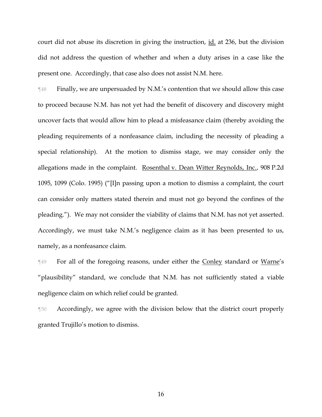court did not abuse its discretion in giving the instruction, id. at 236, but the division did not address the question of whether and when a duty arises in a case like the present one. Accordingly, that case also does not assist N.M. here.

¶48 Finally, we are unpersuaded by N.M.'s contention that we should allow this case to proceed because N.M. has not yet had the benefit of discovery and discovery might uncover facts that would allow him to plead a misfeasance claim (thereby avoiding the pleading requirements of a nonfeasance claim, including the necessity of pleading a special relationship). At the motion to dismiss stage, we may consider only the allegations made in the complaint. Rosenthal v. Dean Witter Reynolds, Inc., 908 P.2d 1095, 1099 (Colo. 1995) ("[I]n passing upon a motion to dismiss a complaint, the court can consider only matters stated therein and must not go beyond the confines of the pleading."). We may not consider the viability of claims that N.M. has not yet asserted. Accordingly, we must take N.M.'s negligence claim as it has been presented to us, namely, as a nonfeasance claim.

**For all of the foregoing reasons, under either the Conley standard or Warne's** "plausibility" standard, we conclude that N.M. has not sufficiently stated a viable negligence claim on which relief could be granted.

¶50 Accordingly, we agree with the division below that the district court properly granted Trujillo's motion to dismiss.